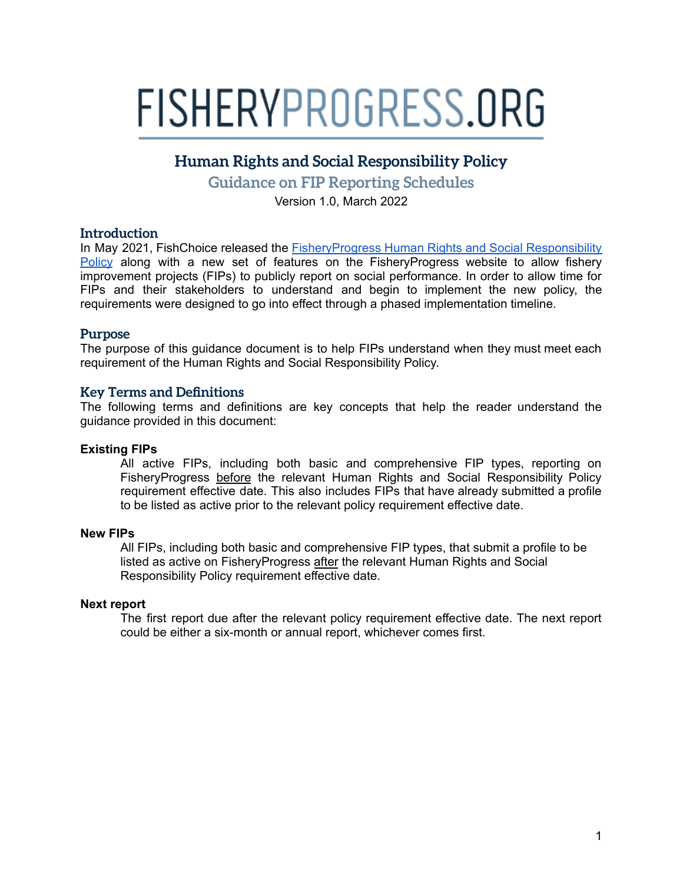# FISHERYPROGRESS.ORG

# **Human Rights and Social Responsibility Policy**

**Guidance on FIP Reporting Schedules**

Version 1.0, March 2022

# **Introduction**

In May 2021, FishChoice released the [FisheryProgress](https://fisheryprogress.org/social-responsibility/our-approach) Human Rights and Social Responsibility [Policy](https://fisheryprogress.org/social-responsibility/our-approach) along with a new set of features on the FisheryProgress website to allow fishery improvement projects (FIPs) to publicly report on social performance. In order to allow time for FIPs and their stakeholders to understand and begin to implement the new policy, the requirements were designed to go into effect through a phased implementation timeline.

#### **Purpose**

The purpose of this guidance document is to help FIPs understand when they must meet each requirement of the Human Rights and Social Responsibility Policy.

# **Key Terms and Definitions**

The following terms and definitions are key concepts that help the reader understand the guidance provided in this document:

#### **Existing FIPs**

All active FIPs, including both basic and comprehensive FIP types, reporting on FisheryProgress before the relevant Human Rights and Social Responsibility Policy requirement effective date. This also includes FIPs that have already submitted a profile to be listed as active prior to the relevant policy requirement effective date.

#### **New FIPs**

All FIPs, including both basic and comprehensive FIP types, that submit a profile to be listed as active on FisheryProgress after the relevant Human Rights and Social Responsibility Policy requirement effective date.

#### **Next report**

The first report due after the relevant policy requirement effective date. The next report could be either a six-month or annual report, whichever comes first.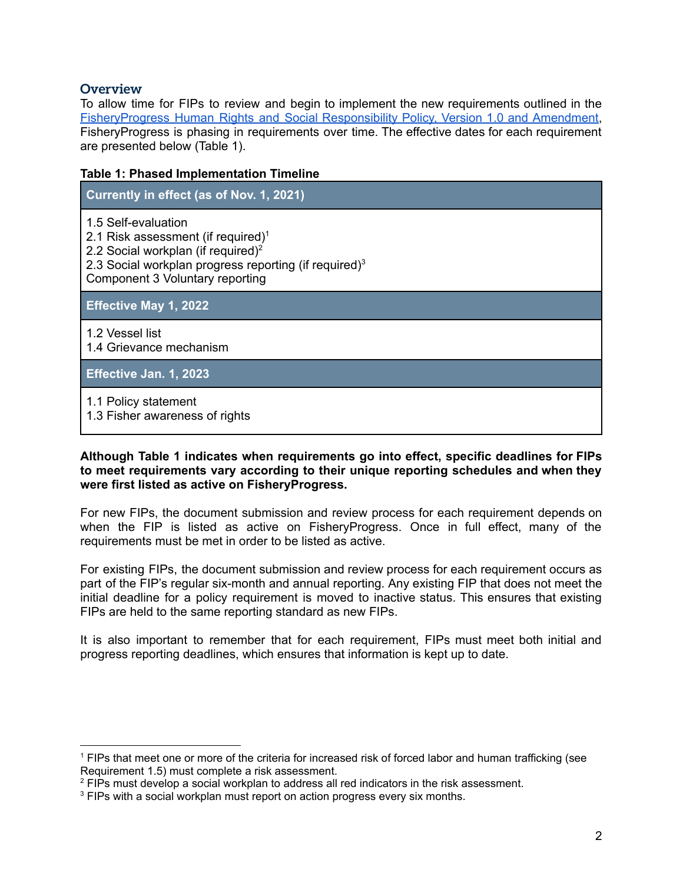# **Overview**

To allow time for FIPs to review and begin to implement the new requirements outlined in the [FisheryProgress](https://fisheryprogress.org/social-responsibility/our-approach) Human Rights and Social Responsibility Policy, Version 1.0 and Amendment, FisheryProgress is phasing in requirements over time. The effective dates for each requirement are presented below (Table 1).

#### **Table 1: Phased Implementation Timeline**

| Currently in effect (as of Nov. 1, 2021)                                                                                                                                                                                        |
|---------------------------------------------------------------------------------------------------------------------------------------------------------------------------------------------------------------------------------|
| 1.5 Self-evaluation<br>2.1 Risk assessment (if required) <sup>1</sup><br>2.2 Social workplan (if required) <sup>2</sup><br>2.3 Social workplan progress reporting (if required) <sup>3</sup><br>Component 3 Voluntary reporting |
| <b>Effective May 1, 2022</b>                                                                                                                                                                                                    |
| 1.2 Vessel list<br>1.4 Grievance mechanism                                                                                                                                                                                      |
| Effective Jan. 1, 2023                                                                                                                                                                                                          |
| 1.1 Policy statement<br>1.3 Fisher awareness of rights                                                                                                                                                                          |

**Although Table 1 indicates when requirements go into effect, specific deadlines for FIPs to meet requirements vary according to their unique reporting schedules and when they were first listed as active on FisheryProgress.**

For new FIPs, the document submission and review process for each requirement depends on when the FIP is listed as active on FisheryProgress. Once in full effect, many of the requirements must be met in order to be listed as active.

For existing FIPs, the document submission and review process for each requirement occurs as part of the FIP's regular six-month and annual reporting. Any existing FIP that does not meet the initial deadline for a policy requirement is moved to inactive status. This ensures that existing FIPs are held to the same reporting standard as new FIPs.

It is also important to remember that for each requirement, FIPs must meet both initial and progress reporting deadlines, which ensures that information is kept up to date.

<sup>1</sup> FIPs that meet one or more of the criteria for increased risk of forced labor and human trafficking (see Requirement 1.5) must complete a risk assessment.

<sup>&</sup>lt;sup>2</sup> FIPs must develop a social workplan to address all red indicators in the risk assessment.

<sup>&</sup>lt;sup>3</sup> FIPs with a social workplan must report on action progress every six months.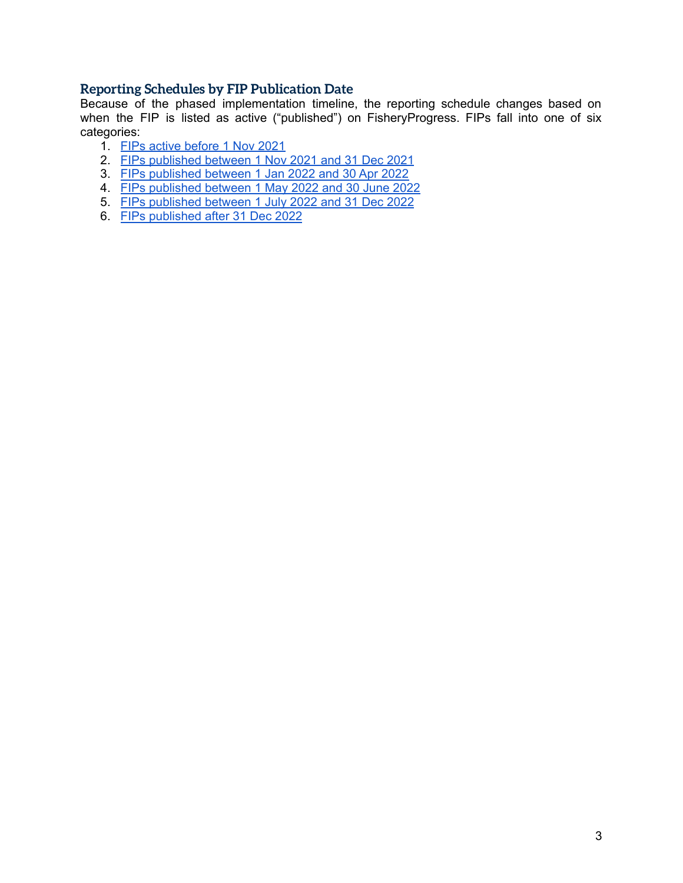# **Reporting Schedules by FIP Publication Date**

Because of the phased implementation timeline, the reporting schedule changes based on when the FIP is listed as active ("published") on FisheryProgress. FIPs fall into one of six categories:

- 1. FIPs active [before](#page-3-0) 1 Nov 2021
- 2. FIPs [published](#page-4-0) between 1 Nov 2021 and 31 Dec 2021
- 3. FIPs [published](#page-5-0) between 1 Jan 2022 and 30 Apr 2022
- 4. FIPs [published](#page-6-0) between 1 May 2022 and 30 June 2022
- 5. FIPs [published](#page-7-0) between 1 July 2022 and 31 Dec 2022
- 6. FIPs [published](#page-8-0) after 31 Dec 2022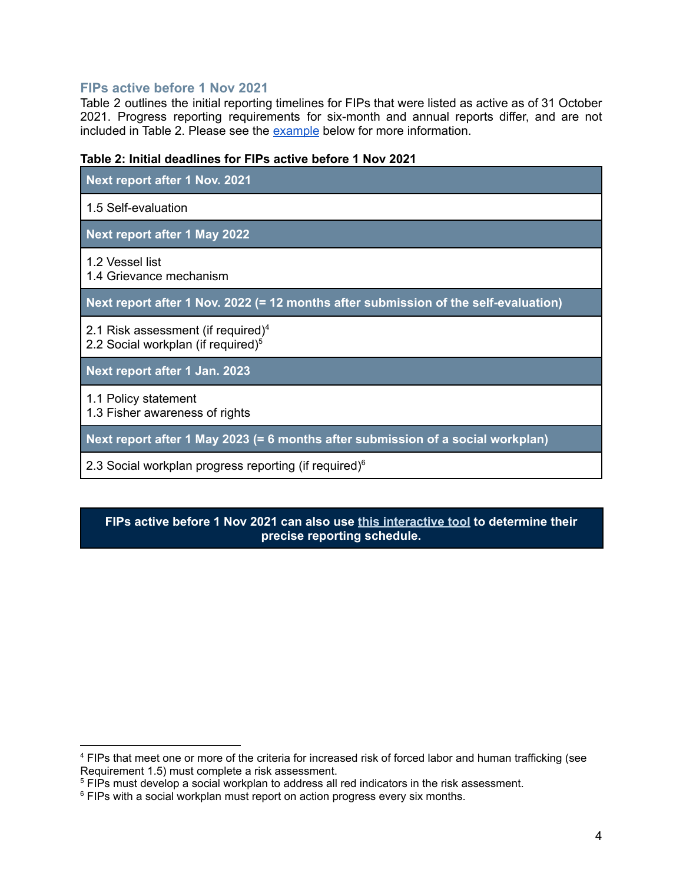# <span id="page-3-0"></span>**FIPs active before 1 Nov 2021**

Table 2 outlines the initial reporting timelines for FIPs that were listed as active as of 31 October 2021. Progress reporting requirements for six-month and annual reports differ, and are not included in Table 2. Please see the [example](#page-9-0) below for more information.

#### **Table 2: Initial deadlines for FIPs active before 1 Nov 2021**

| Next report after 1 Nov. 2021                                                       |
|-------------------------------------------------------------------------------------|
| 1.5 Self-evaluation                                                                 |
| Next report after 1 May 2022                                                        |
| 1.2 Vessel list<br>1.4 Grievance mechanism                                          |
| Next report after 1 Nov. 2022 (= 12 months after submission of the self-evaluation) |
| 2.1 Risk assessment (if required) $4$<br>2.2 Social workplan (if required) $5$      |
| Next report after 1 Jan. 2023                                                       |
| 1.1 Policy statement<br>1.3 Fisher awareness of rights                              |
| Next report after 1 May 2023 (= 6 months after submission of a social workplan)     |
| 2.3 Social workplan progress reporting (if required) <sup>6</sup>                   |

# **FIPs active before 1 Nov 2021 can also use this [interactive](https://docs.google.com/spreadsheets/d/1sekSgyhoP10Pcw7FghlcjM5bSQmd0OOPuyUkqZiBTZY/edit?usp=sharing) tool to determine their precise reporting schedule.**

<sup>&</sup>lt;sup>4</sup> FIPs that meet one or more of the criteria for increased risk of forced labor and human trafficking (see Requirement 1.5) must complete a risk assessment.

<sup>&</sup>lt;sup>5</sup> FIPs must develop a social workplan to address all red indicators in the risk assessment.

<sup>&</sup>lt;sup>6</sup> FIPs with a social workplan must report on action progress every six months.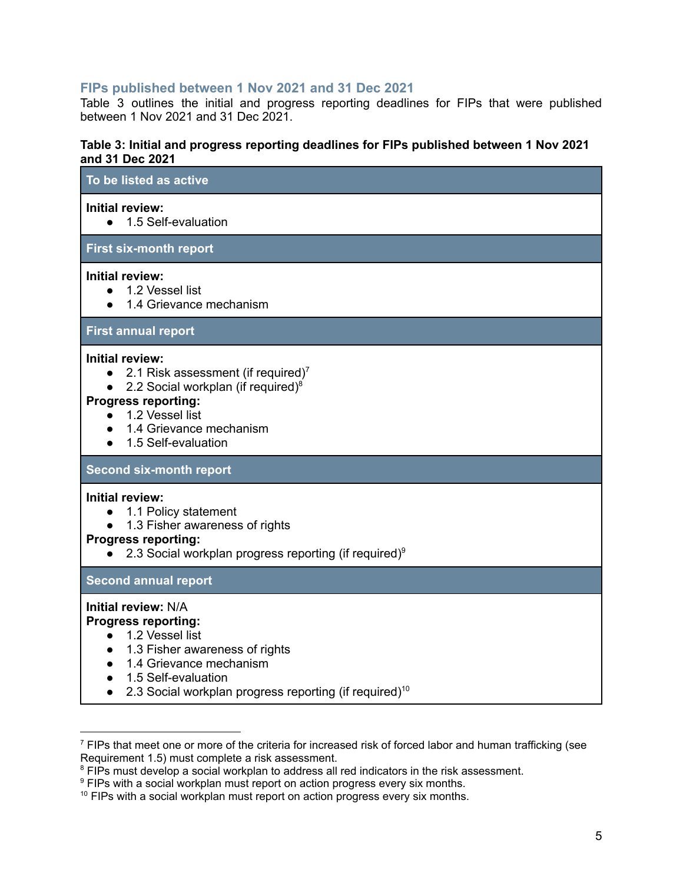# <span id="page-4-0"></span>**FIPs published between 1 Nov 2021 and 31 Dec 2021**

Table 3 outlines the initial and progress reporting deadlines for FIPs that were published between 1 Nov 2021 and 31 Dec 2021.

#### **Table 3: Initial and progress reporting deadlines for FIPs published between 1 Nov 2021 and 31 Dec 2021**

| To be listed as active                                                                                                                                                                                                                             |
|----------------------------------------------------------------------------------------------------------------------------------------------------------------------------------------------------------------------------------------------------|
| <b>Initial review:</b><br>1.5 Self-evaluation<br>$\bullet$                                                                                                                                                                                         |
| <b>First six-month report</b>                                                                                                                                                                                                                      |
| <b>Initial review:</b><br>1.2 Vessel list<br>$\bullet$<br>1.4 Grievance mechanism                                                                                                                                                                  |
| <b>First annual report</b>                                                                                                                                                                                                                         |
| <b>Initial review:</b><br>2.1 Risk assessment (if required) <sup>7</sup><br>2.2 Social workplan (if required) $8$<br>$\bullet$<br><b>Progress reporting:</b><br>1.2 Vessel list<br>1.4 Grievance mechanism<br>1.5 Self-evaluation                  |
| <b>Second six-month report</b>                                                                                                                                                                                                                     |
| <b>Initial review:</b><br>1.1 Policy statement<br>1.3 Fisher awareness of rights<br><b>Progress reporting:</b><br>2.3 Social workplan progress reporting (if required) <sup>9</sup>                                                                |
| <b>Second annual report</b>                                                                                                                                                                                                                        |
| <b>Initial review: N/A</b><br><b>Progress reporting:</b><br>1.2 Vessel list<br>$\bullet$<br>1.3 Fisher awareness of rights<br>1.4 Grievance mechanism<br>1.5 Self-evaluation<br>2.3 Social workplan progress reporting (if required) <sup>10</sup> |

<sup>&</sup>lt;sup>7</sup> FIPs that meet one or more of the criteria for increased risk of forced labor and human trafficking (see Requirement 1.5) must complete a risk assessment.

<sup>&</sup>lt;sup>8</sup> FIPs must develop a social workplan to address all red indicators in the risk assessment.

<sup>&</sup>lt;sup>9</sup> FIPs with a social workplan must report on action progress every six months.

<sup>&</sup>lt;sup>10</sup> FIPs with a social workplan must report on action progress every six months.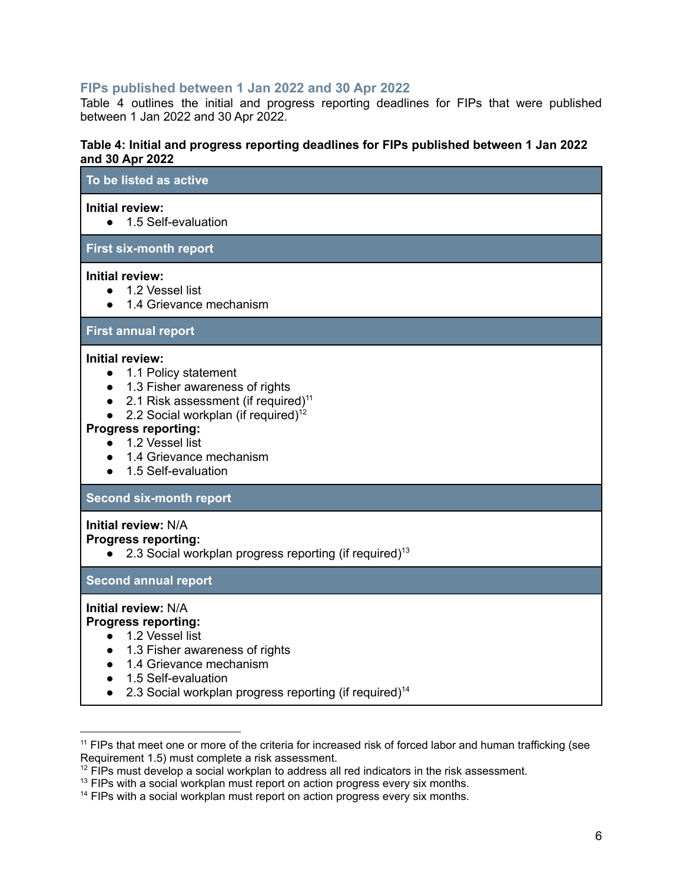# <span id="page-5-0"></span>**FIPs published between 1 Jan 2022 and 30 Apr 2022**

Table 4 outlines the initial and progress reporting deadlines for FIPs that were published between 1 Jan 2022 and 30 Apr 2022.

#### **Table 4: Initial and progress reporting deadlines for FIPs published between 1 Jan 2022 and 30 Apr 2022**

| unu vv Api ∠v∠i                                                                                                                                                                                                                                                                                          |
|----------------------------------------------------------------------------------------------------------------------------------------------------------------------------------------------------------------------------------------------------------------------------------------------------------|
| To be listed as active                                                                                                                                                                                                                                                                                   |
| <b>Initial review:</b><br>1.5 Self-evaluation<br>$\bullet$                                                                                                                                                                                                                                               |
| <b>First six-month report</b>                                                                                                                                                                                                                                                                            |
| <b>Initial review:</b><br>• 1.2 Vessel list<br>1.4 Grievance mechanism<br>$\bullet$                                                                                                                                                                                                                      |
| <b>First annual report</b>                                                                                                                                                                                                                                                                               |
| <b>Initial review:</b><br>1.1 Policy statement<br>1.3 Fisher awareness of rights<br>2.1 Risk assessment (if required) <sup>11</sup><br>2.2 Social workplan (if required) <sup>12</sup><br><b>Progress reporting:</b><br>• 1.2 Vessel list<br>1.4 Grievance mechanism<br>1.5 Self-evaluation<br>$\bullet$ |
| <b>Second six-month report</b>                                                                                                                                                                                                                                                                           |
| <b>Initial review: N/A</b><br><b>Progress reporting:</b><br>2.3 Social workplan progress reporting (if required) <sup>13</sup><br>$\bullet$                                                                                                                                                              |
| <b>Second annual report</b>                                                                                                                                                                                                                                                                              |
| <b>Initial review: N/A</b><br><b>Progress reporting:</b><br>• 1.2 Vessel list<br>1.3 Fisher awareness of rights<br>$\bullet$<br>1.4 Grievance mechanism<br>$\bullet$<br>1.5 Self-evaluation<br>2.3 Social workplan progress reporting (if required) <sup>14</sup><br>$\bullet$                           |

<sup>&</sup>lt;sup>11</sup> FIPs that meet one or more of the criteria for increased risk of forced labor and human trafficking (see Requirement 1.5) must complete a risk assessment.

 $12$  FIPs must develop a social workplan to address all red indicators in the risk assessment.

<sup>&</sup>lt;sup>13</sup> FIPs with a social workplan must report on action progress every six months.

<sup>&</sup>lt;sup>14</sup> FIPs with a social workplan must report on action progress every six months.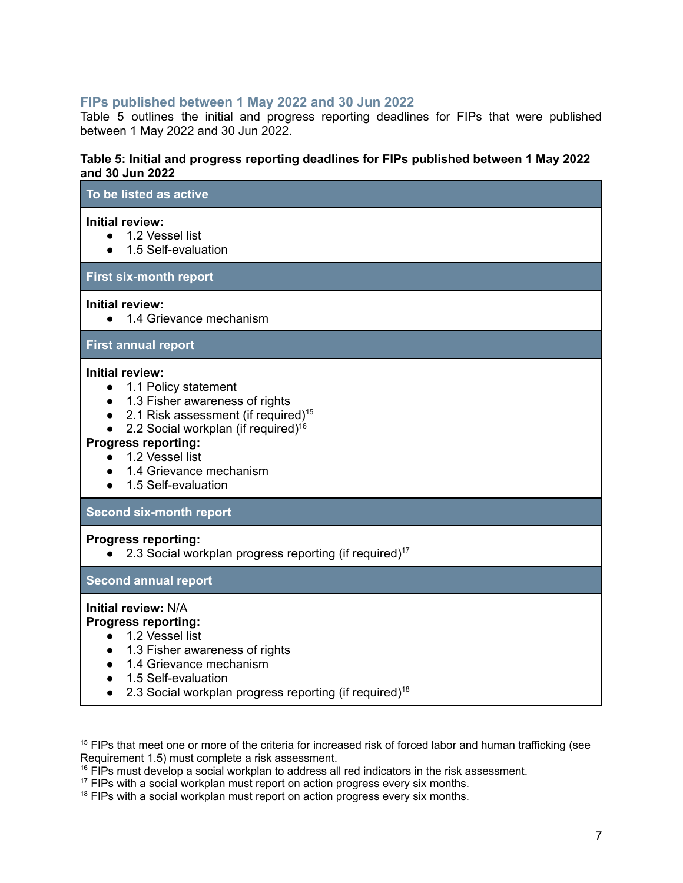#### <span id="page-6-0"></span>**FIPs published between 1 May 2022 and 30 Jun 2022**

Table 5 outlines the initial and progress reporting deadlines for FIPs that were published between 1 May 2022 and 30 Jun 2022.

#### **Table 5: Initial and progress reporting deadlines for FIPs published between 1 May 2022 and 30 Jun 2022**

| To be listed as active                                                                                                                                                                                                                                                                                       |
|--------------------------------------------------------------------------------------------------------------------------------------------------------------------------------------------------------------------------------------------------------------------------------------------------------------|
| Initial review:<br>1.2 Vessel list<br>1.5 Self-evaluation<br>$\bullet$                                                                                                                                                                                                                                       |
| <b>First six-month report</b>                                                                                                                                                                                                                                                                                |
| <b>Initial review:</b><br>1.4 Grievance mechanism<br>$\bullet$                                                                                                                                                                                                                                               |
| <b>First annual report</b>                                                                                                                                                                                                                                                                                   |
| Initial review:<br>1.1 Policy statement<br>$\bullet$<br>1.3 Fisher awareness of rights<br>2.1 Risk assessment (if required) <sup>15</sup><br>2.2 Social workplan (if required) <sup>16</sup><br><b>Progress reporting:</b><br>1.2 Vessel list<br>$\bullet$<br>1.4 Grievance mechanism<br>1.5 Self-evaluation |
| <b>Second six-month report</b>                                                                                                                                                                                                                                                                               |
| <b>Progress reporting:</b><br>2.3 Social workplan progress reporting (if required) <sup>17</sup>                                                                                                                                                                                                             |
| <b>Second annual report</b>                                                                                                                                                                                                                                                                                  |
| Initial review: N/A<br><b>Progress reporting:</b><br>• 1.2 Vessel list<br>1.3 Fisher awareness of rights<br>$\bullet$<br>1.4 Grievance mechanism<br>$\bullet$<br>1.5 Self-evaluation<br>2.3 Social workplan progress reporting (if required) <sup>18</sup>                                                   |

<sup>&</sup>lt;sup>15</sup> FIPs that meet one or more of the criteria for increased risk of forced labor and human trafficking (see Requirement 1.5) must complete a risk assessment.

<sup>&</sup>lt;sup>16</sup> FIPs must develop a social workplan to address all red indicators in the risk assessment.

<sup>&</sup>lt;sup>17</sup> FIPs with a social workplan must report on action progress every six months.

<sup>&</sup>lt;sup>18</sup> FIPs with a social workplan must report on action progress every six months.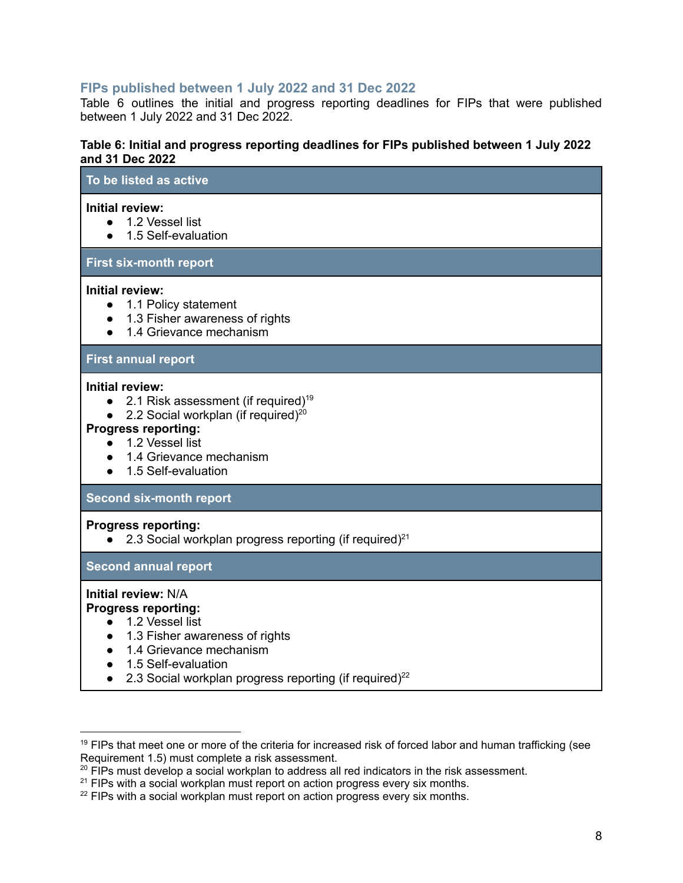# <span id="page-7-0"></span>**FIPs published between 1 July 2022 and 31 Dec 2022**

Table 6 outlines the initial and progress reporting deadlines for FIPs that were published between 1 July 2022 and 31 Dec 2022.

#### **Table 6: Initial and progress reporting deadlines for FIPs published between 1 July 2022 and 31 Dec 2022**

# **To be listed as active Initial review:** ● 1.2 Vessel list ● 1.5 Self-evaluation **First six-month report Initial review:** ● 1.1 Policy statement ● 1.3 Fisher awareness of rights ● 1.4 Grievance mechanism **First annual report Initial review:**  $\bullet$  2.1 Risk assessment (if required)<sup>19</sup> • 2.2 Social workplan (if required)<sup>20</sup> **Progress reporting:**

- 1.2 Vessel list
- 1.4 Grievance mechanism
- 1.5 Self-evaluation

#### **Second six-month report**

#### **Progress reporting:**

 $\bullet$  2.3 Social workplan progress reporting (if required)<sup>21</sup>

#### **Second annual report**

#### **Initial review:** N/A

# **Progress reporting:**

- 1.2 Vessel list
- 1.3 Fisher awareness of rights
- 1.4 Grievance mechanism
- 1.5 Self-evaluation
- $\bullet$  2.3 Social workplan progress reporting (if required)<sup>22</sup>

<sup>&</sup>lt;sup>19</sup> FIPs that meet one or more of the criteria for increased risk of forced labor and human trafficking (see Requirement 1.5) must complete a risk assessment.

 $20$  FIPs must develop a social workplan to address all red indicators in the risk assessment.

 $21$  FIPs with a social workplan must report on action progress every six months.

<sup>&</sup>lt;sup>22</sup> FIPs with a social workplan must report on action progress every six months.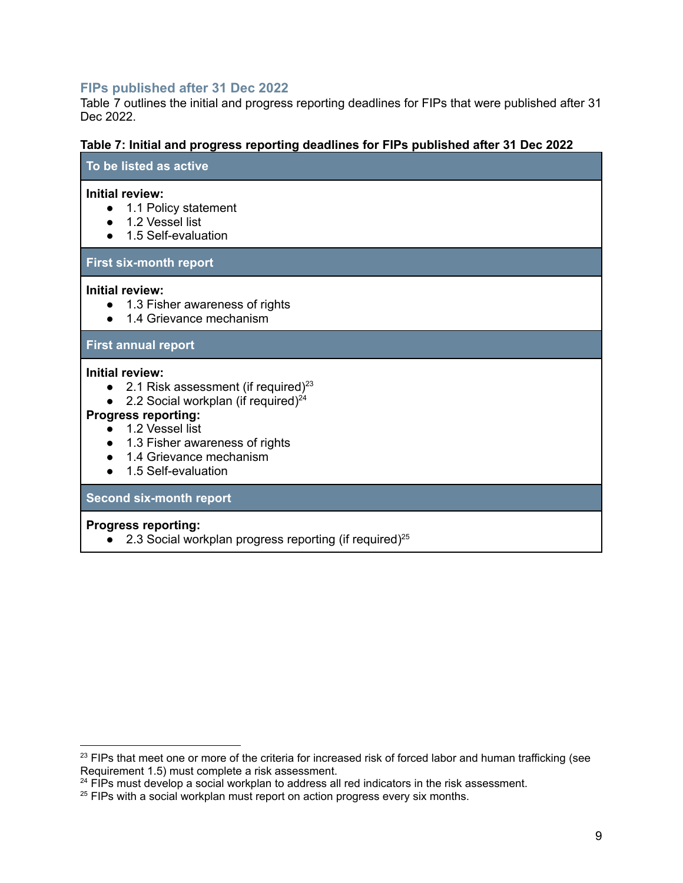# <span id="page-8-0"></span>**FIPs published after 31 Dec 2022**

Table 7 outlines the initial and progress reporting deadlines for FIPs that were published after 31 Dec 2022.

#### **Table 7: Initial and progress reporting deadlines for FIPs published after 31 Dec 2022**

#### **To be listed as active**

#### **Initial review:**

- 1.1 Policy statement
- 1.2 Vessel list
- 1.5 Self-evaluation

#### **First six-month report**

#### **Initial review:**

- 1.3 Fisher awareness of rights
- 1.4 Grievance mechanism

#### **First annual report**

#### **Initial review:**

- 2.1 Risk assessment (if required) $^{23}$
- 2.2 Social workplan (if required) $^{24}$

#### **Progress reporting:**

- $\bullet$  1.2 Vessel list
- 1.3 Fisher awareness of rights
- 1.4 Grievance mechanism
- 1.5 Self-evaluation

#### **Second six-month report**

#### **Progress reporting:**

 $\bullet$  2.3 Social workplan progress reporting (if required)<sup>25</sup>

 $23$  FIPs that meet one or more of the criteria for increased risk of forced labor and human trafficking (see Requirement 1.5) must complete a risk assessment.

 $24$  FIPs must develop a social workplan to address all red indicators in the risk assessment.

 $25$  FIPs with a social workplan must report on action progress every six months.